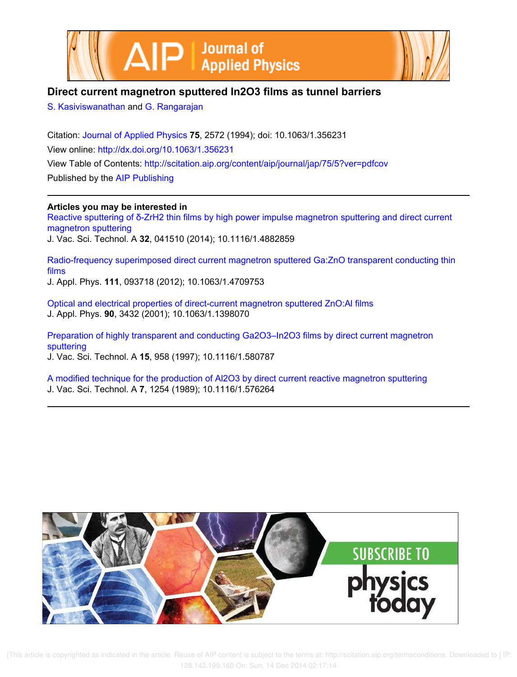



# **Direct current magnetron sputtered In2O3 films as tunnel barriers**

S. Kasiviswanathan and G. Rangarajan

Citation: Journal of Applied Physics **75**, 2572 (1994); doi: 10.1063/1.356231 View online: http://dx.doi.org/10.1063/1.356231 View Table of Contents: http://scitation.aip.org/content/aip/journal/jap/75/5?ver=pdfcov Published by the AIP Publishing

## **Articles you may be interested in**

Reactive sputtering of δ-ZrH2 thin films by high power impulse magnetron sputtering and direct current magnetron sputtering J. Vac. Sci. Technol. A **32**, 041510 (2014); 10.1116/1.4882859

Radio-frequency superimposed direct current magnetron sputtered Ga:ZnO transparent conducting thin films J. Appl. Phys. **111**, 093718 (2012); 10.1063/1.4709753

Optical and electrical properties of direct-current magnetron sputtered ZnO:Al films J. Appl. Phys. **90**, 3432 (2001); 10.1063/1.1398070

Preparation of highly transparent and conducting Ga2O3–In2O3 films by direct current magnetron sputtering

J. Vac. Sci. Technol. A **15**, 958 (1997); 10.1116/1.580787

A modified technique for the production of Al2O3 by direct current reactive magnetron sputtering J. Vac. Sci. Technol. A **7**, 1254 (1989); 10.1116/1.576264

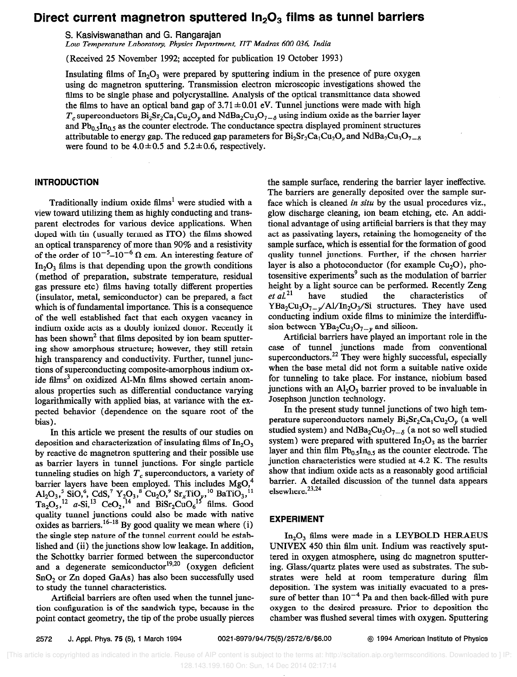## Direct current magnetron sputtered  $In_2O_3$  films as tunnel barriers

S. Kasiviswanathan and G. Rangarajan

Low Temperature Laboratory. Physics Department, IIT Madras 600 036, India

(Received 25 November 1992; accepted for publication 19 October 1993)

Insulating films of  $In_2O_3$  were prepared by sputtering indium in the presence of pure oxygen using dc magnetron sputtering. Transmission electron microscopic investigations showed the films to be single phase and polycrystalline. Analysis of the optical transmittance data showed the films to have an optical band gap of  $3.71 \pm 0.01$  eV. Tunnel junctions were made with high  $T_c$  superconductors Bi<sub>2</sub>Sr<sub>2</sub>Ca<sub>1</sub>Cu<sub>2</sub>O<sub>v</sub> and NdBa<sub>2</sub>Cu<sub>3</sub>O<sub>7-6</sub> using indium oxide as the barrier layer and  $Pb_0$ ,  $In_0$ , as the counter electrode. The conductance spectra displayed prominent structures attributable to energy gap. The reduced gap parameters for  $Bi_2Sr_2Ca_1Cu_2O$ , and NdBa<sub>2</sub>Cu<sub>3</sub>O<sub>7- $\delta$ </sub> were found to be  $4.0 \pm 0.5$  and  $5.2 \pm 0.6$ , respectively.

### **INTRODUCTION**

Traditionally indium oxide films' were studied with a view toward utilizing them as highly conducting and transparent electrodes for various device applications. When doped with tin (usually termed as ITO) the films showed an optical transparency of more than 90% and a resistivity of the order of  $10^{-5}$ – $10^{-6}$  Q cm. An interesting feature of  $In<sub>2</sub>O<sub>3</sub>$  films is that depending upon the growth conditions (method of preparation, substrate temperature, residual gas pressure etc) films having totally different properties (insulator, metal, semiconductor) can be prepared, a fact which is of fundamental importance. This is a consequence of the well established fact that each oxygen vacancy in indium oxide acts as a doubly ionized donor. Recently it has been shown<sup>2</sup> that films deposited by ion beam sputtering show amorphous structure; however, they still retain high transparency and conductivity. Further, tunnel junctions of superconducting composite-amorphous indium oxide films<sup>3</sup> on oxidized Al-Mn films showed certain anomalous properties such as differential conductance varying logarithmically with applied bias, at variance with the expected behavior (dependence on the square root of the bias).

In this article we present the results of our studies on deposition and characterization of insulating films of  $In_2O_3$ by reactive dc magnetron sputtering and their possible use as barrier layers in tunnel junctions. For single particle tunneling studies on high  $T_c$  superconductors, a variety of barrier layers have been employed. This includes  $MgO<sub>1</sub><sup>4</sup>$  $\text{Al}_2\text{O}_3$ ,  $\text{SiO}$ ,  $\text{CaS}$ ,  $\text{Y}_2\text{O}_3$ ,  $\text{Cu}_2\text{O}$ ,  $\text{Sr}_x\text{TiO}_y$ ,  $\text{N}$  BaTiO<sub>3</sub>,  $\text{N}$  $Ta_2O_5$ ,  $^{12}$  a-Si,  $^{13}$  CeO<sub>2</sub>,  $^{14}$  and BiSr<sub>2</sub>CuO<sub>6</sub><sup>15</sup> films. Good quality tunnel junctions could also be made with native oxides as barriers.<sup>16-18</sup> By good quality we mean where  $(i)$ the single step nature of the tunnel current could be established and (ii) the junctions show low leakage. In addition, the Schottky barrier formed between the superconductor and a degenerate semiconductor<sup>19,20</sup> (oxygen deficient SnO<sub>2</sub> or Zn doped GaAs) has also been successfully used to study the tunnel characteristics.

Artificial barriers are often used when the tunnel junction configuration is of the sandwich type, because in the point contact geometry, the tip of the probe usually pierces the sample surface, rendering the barrier layer ineffective. The barriers are generally deposited over the sample surface which is cleaned in situ by the usual procedures viz., glow discharge cleaning, ion beam etching, etc. An additional advantage of using artificial barriers is that they may act as passivating layers, retaining the homogeneity of the sample surface, which is essential for the formation of good quality tunnel junctions. Further, if the chosen barrier layer is also a photoconductor (for example  $Cu<sub>2</sub>O$ ), photosensitive experiments' such as the modulation of barrier height by a light source can be performed. Recently Zeng  $et al.<sup>21</sup>$  have studied the characteristics of characteristics of  $YBa_2Cu_3O_{7-\nu}/Al/In_2O_3/Si$  structures. They have used conducting indium oxide films to minimize the interdiffusion between  $YBa<sub>2</sub>Cu<sub>3</sub>O<sub>7-\nu</sub>$  and silicon.

Artificial barriers have played an important role in the case of tunnel junctions made from conventional superconductors.<sup>22</sup> They were highly successful, especially when the base metal did not form a suitable native oxide for tunneling to take place. For instance, niobium based junctions with an  $A<sub>1</sub>, O<sub>3</sub>$  barrier proved to be invaluable in Josephson junction technology.

In the present study tunnel junctions of two high temperature superconductors namely  $Bi_2Sr_2Ca_1Cu_2O_y$  (a well studied system) and NdBa<sub>2</sub>Cu<sub>3</sub>O<sub>7- $\delta$ </sub> (a not so well studied system) were prepared with sputtered  $In_2O_3$  as the barrier layer and thin film  $Pb_{0.5}$ In<sub>0.5</sub> as the counter electrode. The junction characteristics were studied at 4.2 K. The results show that indium oxide acts as a reasonably good artificial barrier. A detailed discussion of the tunnel data appears elsewhere.<sup>23,24</sup>

#### EXPERIMENT

 $In<sub>2</sub>O<sub>3</sub>$  films were made in a LEYBOLD HERAEUS UNIVEX 450 thin film unit. Indium was reactively sputtered in oxygen atmosphere, using dc magnetron sputtering. Glass/quartz plates were used as substrates. The substrates were held at room temperature during fihn deposition. The system was initially evacuated to a pressure of better than  $10^{-4}$  Pa and then back-filled with pure oxygen to the desired pressure. Prior to deposition the chamber was flushed several times with oxygen. Sputtering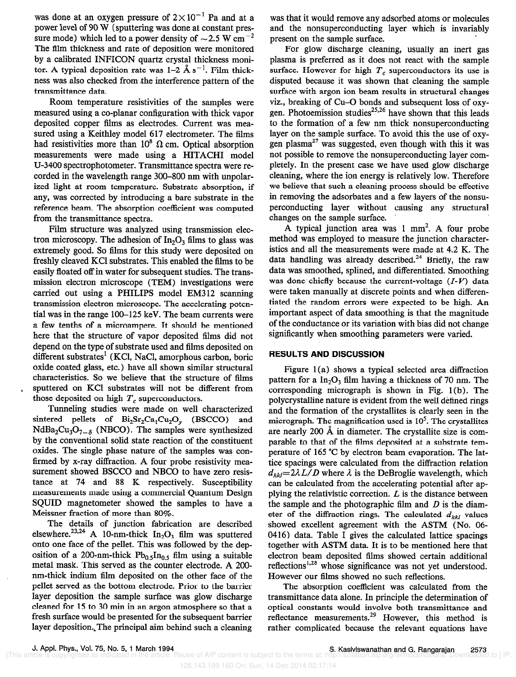was done at an oxygen pressure of  $2 \times 10^{-1}$  Pa and at a power level of 90 W (sputtering was done at constant pressure mode) which led to a power density of  $\sim$  2.5 W cm<sup>-2</sup> The film thickness and rate of deposition were monitored by a calibrated INFICON quartz crystal thickness monitor. A typical deposition rate was  $1-2$  Å s<sup>-1</sup>. Film thickness was also checked from the interference pattern of the transmittance data.

Room temperature resistivities of the samples were measured using a co-planar configuration with thick vapor deposited copper films as electrodes. Current was measured using a Keithley model 617 electrometer. The films had resistivities more than  $10^8$   $\Omega$  cm. Optical absorption measurements were made using a HITACHI model U-3400 spectrophotometer. Transmittance spectra were recorded in the wavelength range 300-800 nm with unpolarized light at room temperature. Substrate absorption, if any, was corrected by introducing a bare substrate in the reference beam. The absorption coefficient was computed from the transmittance spectra.

Film structure was analyzed using transmission electron microscopy. The adhesion of  $In_2O_3$  films to glass was extremely good. So films for this study were deposited on freshly cleaved KC1 substrates. This enabled the films to be easily floated off in water for subsequent studies. The transmission electron microscope (TEM) investigations were carried out using a PHILIPS model EM312 scanning transmission electron microscope. The accelerating potential was in the range 100-125 keV. The beam currents were a few tenths of a microampere. It should be mentioned here that the structure of vapor deposited films did not depend on the type of substrate used and films deposited on different substrates' (KCl, NaCl, amorphous carbon, boric oxide coated glass, etc.) have all shown similar structural characteristics. So we believe that the structure of films sputtered on KCl substrates will not be different from those deposited on high  $T<sub>c</sub>$  superconductors.

Tunneling studies were made on well characterized sintered pellets of  $Bi_2Sr_2Ca_1Cu_2O_y$  (BSCCO) and  $NdBa_2Cu_3O_{7-\delta}$  (NBCO). The samples were synthesized by the conventional solid state reaction of the constituent oxides. The single phase nature of the samples was confirmed by x-ray diffraction. A four probe resistivity measurement showed BSCCO and NBC0 to have zero resistance at 74 and 88 K respectively. Susceptibility measurements made using a commercial Quantum Design SQUID magnetometer showed the samples to have a Meissner fraction of more than 80%.

The details of junction fabrication are described elsewhere.<sup>23,24</sup> A 10-nm-thick  $In_2O_3$  film was sputtered onto one face of the pellet. This was followed by the deposition of a 200-nm-thick  $Pb_{0.5}$ In<sub>0.5</sub> film using a suitable metal mask. This served as the counter electrode. A 200 nm-thick indium film deposited on the other face of the pellet served as the bottom electrode. Prior to the barrier layer deposition the sample surface was glow discharge cleaned for 15 to 30 min in an argon atmosphere so that a fresh surface would be presented for the subsequent barrier layer deposition. The principal aim behind such a cleaning

was that it would remove any adsorbed atoms or molecules and the nonsuperconducting layer which is invariably present on the sample surface.

For glow discharge cleaning, usually an inert gas plasma is preferred as it does not react with the sample surface. However for high  $T_c$  superconductors its use is disputed because it was shown that cleaning the sample surface with argon ion beam results in structural changes viz., breaking of Cu-Q bonds and subsequent loss of oxygen. Photoemission studies<sup>25,26</sup> have shown that this leads to the formation of a few nm thick nonsuperconducting layer on the sample surface. To avoid this the use of oxygen plasma<sup>27</sup> was suggested, even though with this it was not possible to remove the nonsuperconducting layer completely. In the present case we have used glow discharge cleaning, where the ion energy is relatively low. Therefore we believe that such a cleaning process should be effective in removing the adsorbates and a few layers of the nonsuperconducting layer without causing any structural changes on the sample surface.

A typical junction area was  $1 \text{ mm}^2$ . A four probe method was employed to measure the junction characteristics and all the measurements were made at 4.2 K. The data handling was already described.<sup>24</sup> Briefly, the raw data was smoothed, splined, and differentiated. Smoothing was done chiefly because the current-voltage  $(I-V)$  data were taken manually at discrete points and when differentiated the random errors were expected to be high. An important aspect of data smoothing is that the magnitude of the conductance or its variation with bias did not change significantly when smoothing parameters were varied.

### RESULTS AND DISCUSSION

Figure  $1(a)$  shows a typical selected area diffraction pattern for a  $In_2O_3$  film having a thickness of 70 nm. The corresponding micrograph is shown in Fig. 1 (b). The polycrystalline nature is evident from the well defined rings and the formation of the crystallites is clearly seen in the micrograph. The magnification used is  $10<sup>5</sup>$ . The crystallites are nearly 200 A in diameter. The crystallite size is comparable to that of the films deposited at a substrate temperature of 165 "C by electron beam evaporation. The lattice spacings were calculated from the diffraction relation  $d_{hkl}=2\lambda L/D$  where  $\lambda$  is the DeBroglie wavelength, which can be calculated from the accelerating potential after applying the relativistic correction.  $L$  is the distance between the sample and the photographic film and  $D$  is the diameter of the diffraction rings. The calculated  $d_{hkl}$  values showed excellent agreement with the ASTM (No. 06- 0416) data. Table I gives the calculated lattice spacings together with ASTM data. It is to be mentioned here that electron beam deposited films showed certain additional reflections<sup>1,28</sup> whose significance was not yet understood. However our films showed no such reflections.

The absorption coefficient was calculated from the transmittance data alone. In principle the determination of optical constants would involve both transmittance and reflectance measurements.<sup>29</sup> However, this method is rather complicated because the relevant equations have

128.143.199.160 On: Sun, 14 Dec 2014 02:17:14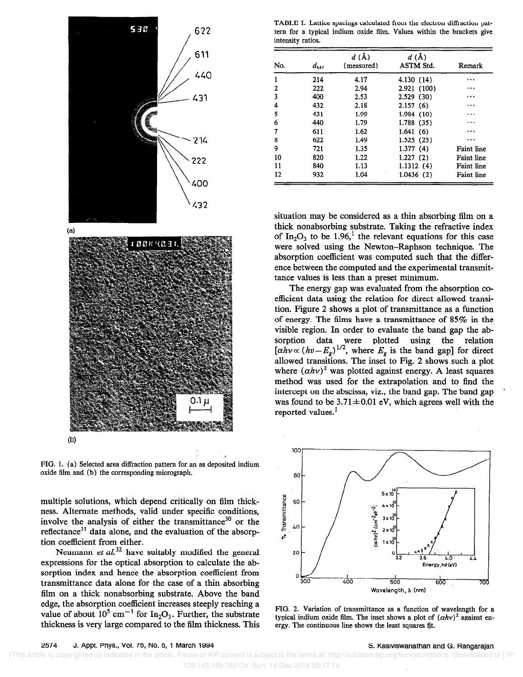



FIG. 1. (a) Selected area diffraction pattern for an as deposited indium oxide film and (b) the corresponding micrograph.

multiple solutions, which depend critically on film thickness. Alternate methods, valid under specific conditions, involve the analysis of either the transmittance<sup>30</sup> or the reflectance<sup>31</sup> data alone, and the evaluation of the absorption coefficient from either.

Neumann et  $al^{32}$  have suitably modified the general expressions for the optical absorption to calculate the absorption index and hence the absorption coefficient from transmittance data alone for the case of a thin absorbing film on a thick nonabsorbing substrate. Above the band edge, the absorption coefficient increases steeply reaching a value of about  $10^5$  cm<sup>-1</sup> for In<sub>2</sub>O<sub>3</sub>. Further, the substrate thickness is very large compared to the film thickness. This

TABLE I. Lattice spacings calculated from the electron diffraction pattern for a typical indium oxide film. Values within the brackets give intensity ratios.

| No. | $d_{hkl}$ | $d(\tilde{A})$<br>(measured) | $d(\text{Å})$<br>ASTM Std. | Remark            |
|-----|-----------|------------------------------|----------------------------|-------------------|
|     | 214       | 4.17                         | 4.130 (14)                 |                   |
| 2   | 222       | 2.94                         | 2.921 (100)                | .                 |
| 3   | 400       | 2.53                         | 2.529(30)                  |                   |
| 4   | 432       | 2.18                         | 2.157(6)                   | .                 |
| 5   | 431       | 1.99                         | 1.984(10)                  |                   |
| 6   | 440       | 1.79                         | 1.788(35)                  |                   |
| 7   | 611       | 1.62                         | 1.641(6)                   | .                 |
| 8   | 622       | 1.49                         | 1.525(25)                  | .                 |
| 9   | 721       | 1.35                         | 1.377(4)                   | <b>Faint line</b> |
| 10  | 820       | 1.22                         | 1.227(2)                   | Faint line        |
| 11  | 840       | 1.13                         | 1.1312(4)                  | Faint line        |
| 12  | 932       | 1.04                         | 1.0436(2)                  | Faint line        |

situation may be considered as a thin absorbing tilm on a thick nonabsorbing substrate. Taking the refractive index of In<sub>2</sub>O<sub>3</sub> to be 1.96,<sup>1</sup> the relevant equations for this case were solved using the Newton-Raphson technique. The absorption coefficient was computed such that the difference between the computed and the experimental transmittance values is less than a preset minimum.

The energy gap was evaluated from the absorption coefficient data using the relation for direct allowed transition. Figure 2 shows a plot of transmittance as a function of energy. The films have a transmittance of 85% in the visible region. In order to evaluate the band gap the absorption data were plotted using the relation  $[\alpha h v \propto (h v - E_{g})^{1/2}$ , where  $E_{g}$  is the band gap] for direct allowed transitions. The inset to Fig. 2 shows such a plot where  $(\alpha h v)^2$  was plotted against energy. A least squares method was used for the extrapolation and to find the intercept on the abscissa, viz., the band gap. The band gap was found to be  $3.71 \pm 0.01$  eV, which agrees well with the reported values.<sup>1</sup>



FIG. 2. Variation of transmittance as a function of wavelength for a typical indium oxide film. The inset shows a plot of  $(\alpha h\nu)^2$  against energy. The continuous line shows the least squares fit.

 [This article is copyrighted as indicated in the article. Reuse of AIP content is subject to the terms at: http://scitation.aip.org/termsconditions. Downloaded to ] IP: 128.143.199.160 On: Sun, 14 Dec 2014 02:17:14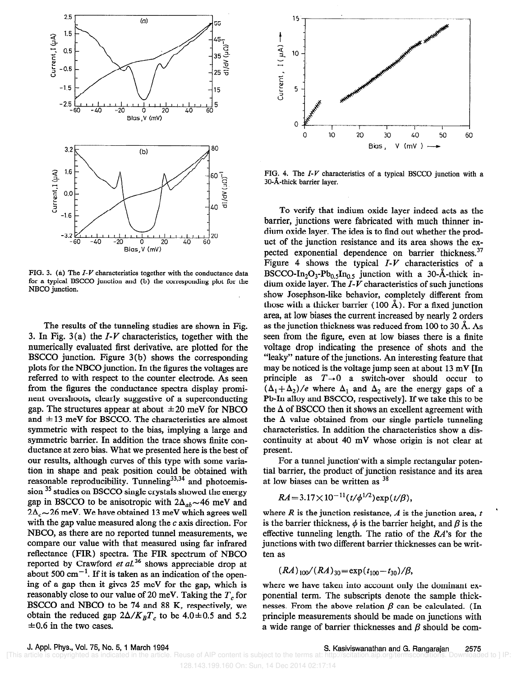

FIG. 3. (a) The  $I-V$  characteristics together with the conductance data for a typical BSCCO junction and (b) the corresponding plot for the NBCO junction.

The results of the tunneling studies are shown in Fig. 3. In Fig.  $3(a)$  the  $I-V$  characteristics, together with the numerically evaluated first derivative, are plotted for the BSCCO junction. Figure 3(b) shows the corresponding plots for the NBC0 junction. In the figures the voltages are referred to with respect to the counter electrode. As seen from the figures the conductance spectra display prominent overshoots, clearly suggestive of a superconducting gap. The structures appear at about  $\pm 20$  meV for NBCO and  $\pm 13$  meV for BSCCO. The characteristics are almost symmetric with respect to the bias, implying a large and symmetric barrier. In addition the trace shows finite conductance at zero bias. What we presented here is the best of our results, although curves of this type with some variation in shape and peak position could be obtained with reasonable reproducibility. Tunneling $33,34$  and photoemission 35 studies on BSCCO single crystals showed the energy gap in BSCCO to be anisotropic with  $2\Delta_{ab} \sim 46$  meV and  $2\Delta \sim 26$  meV. We have obtained 13 meV which agrees well with the gap value measured along the  $c$  axis direction. For NBCO, as there are no reported tunnel measurements, we compare our value with that measured using far infrared reflectance (FIR) spectra. The FIR spectrum of NBC0 reported by Crawford et  $aL^{36}$  shows appreciable drop at about 500  $\text{cm}^{-1}$ . If it is taken as an indication of the opening of a gap then it gives 25 meV for the gap, which is reasonably close to our value of 20 meV. Taking the  $T<sub>e</sub>$  for BSCCO and NBC0 to be 74 and 88 K, respectively, we obtain the reduced gap  $2\Delta/K_B T_c$  to be 4.0 ± 0.5 and 5.2  $\pm 0.6$  in the two cases.



FIG. 4. The I-V characteristics of a typical BSCCO junction with a 30-A-thick barrier layer.

To verify that indium oxide layer indeed acts as the barrier, junctions were fabricated with much thinner indium oxide layer. The idea is to find out whether the product of the junction resistance and its area shows the expected exponential dependence on barrier thickness.<sup>37</sup> Figure 4 shows the typical  $I-V$  characteristics of a BSCCO-In<sub>2</sub>O<sub>3</sub>-Pb<sub>0.5</sub>In<sub>0.5</sub> junction with a 30-Å-thick indium oxide layer. The  $\overline{I}$ - $\overline{V}$  characteristics of such junctions show Josephson-like behavior, completely different from those with a thicker barrier (100 Å). For a fixed junction area, at low biases the current increased by nearly 2 orders as the junction thickness was reduced from 100 to 30 A. As seen from the figure, even at low biases there is a finite voltage drop indicating the presence of shots and the "leaky" nature of the junctions. An interesting feature that may be noticed is the voltage jump seen at about 13 mV [In principle as  $T\rightarrow 0$  a switch-over should occur to  $(\Delta_1 + \Delta_2)/e$  where  $\Delta_1$  and  $\Delta_2$  are the energy gaps of a Pb-In alloy and BSCCO, respectively]. If we take this to be the  $\Delta$  of BSCCO then it shows an excellent agreement with the  $\Delta$  value obtained from our single particle tunneling characteristics. In addition the characteristics show a discontinuity at about 40 mV whose origin is not clear at present.

For a tunnel junction with a simple rectangular potential barrier, the product of junction resistance and its area at low biases can be written as  $38$ 

$$
RA = 3.17 \times 10^{-11} (t/\phi^{1/2}) \exp(t/\beta),
$$

where R is the junction resistance, A is the junction area,  $t$ is the barrier thickness,  $\phi$  is the barrier height, and  $\beta$  is the effective tunneling length. The ratio of the  $RA$ 's for the junctions with two different barrier thicknesses can be written as

$$
(RA)_{100}/(RA)_{30} = \exp(t_{100} - t_{30})/\beta,
$$

where we have taken into account only the dominant exponential term. The subscripts denote the sample thicknesses. From the above relation  $\beta$  can be calculated. (In principle measurements should be made on junctions with a wide range of barrier thicknesses and  $\beta$  should be com-

[This article is copyrighted as indicated in the article. Reuse of AIP content is subject to the terms at: http://

J. Appl. Phys., Vol. 75, No. 5, 1 March 1994<br>Inticle is copyrighted as indicated in the article. Reuse of AIP content is subject to the terms at: http://scitation.aip.org/termsconditions. Downloaded to 1 IP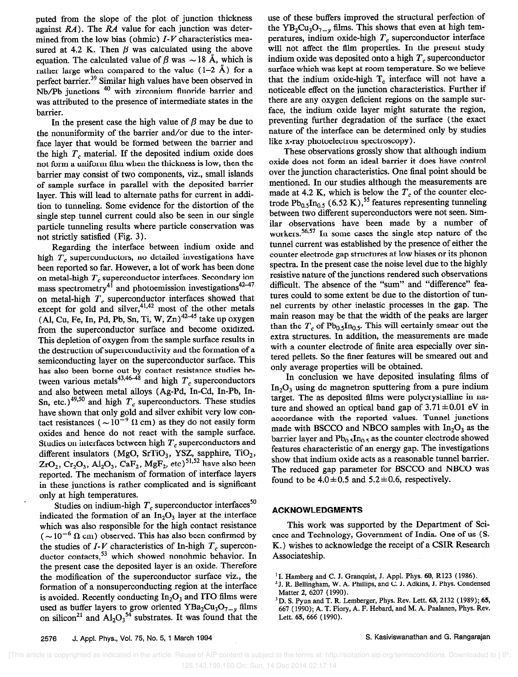puted from the slope of the plot of junction thickness against  $RA$ ). The  $RA$  value for each junction was determined from the low bias (ohmic)  $I-V$  characteristics measured at 4.2 K. Then  $\beta$  was calculated using the above equation. The calculated value of  $\beta$  was  $\sim$  18 Å, which is rather large when compared to the value  $(1-2 \text{ Å})$  for a perfect barrier.<sup>39</sup> Similar high values have been observed in Nb/Pb junctions <sup>40</sup> with zirconium fluoride barrier and was attributed to the presence of intermediate states in the barrier.

In the present case the high value of  $\beta$  may be due to the nonuniformity of the barrier and/or due to the interface layer that would be formed between the barrier and the high  $T_c$  material. If the deposited indium oxide does not form a uniform film when the thickness is low, then the barrier may consist of two components, viz., small islands of sample surface in parallel with the deposited barrier layer. This will lead to alternate paths for current in addition to tunneling. Some evidence for the distortion of the single step tunnel current could also be seen in our single particle tunneling results where particle conservation was not strictly satisfied (Fig. 3).

Regarding the interface between indium oxide and high  $T_c$  superconductors, no detailed investigations have been reported so far. However, a lot of work has been done on metal-high  $T_c$  superconductor interfaces. Secondary ion mass spectrometry<sup>41</sup> and photoemission investigations<sup>42-47</sup> on metal-high  $T_c$  superconductor interfaces showed that except for gold and silver,  $41.42$  most of the other metals  $(A, Cu, Fe, In, Pd, Pb, Sn, Ti, W, Zn)$ <sup>42-45</sup> take up oxygen from the superconductor surface and become oxidized. This depletion of oxygen from the sample surface results in the destruction of superconductivity and the formation of a semiconducting layer on the superconductor surface. This has also been borne out by contact resistance studies between various metals<sup>43,4044</sup> and high  $T_c$  superconductors and also between metal alloys (Ag-Pd, In-Cd, In-Pb, In-Sn, etc.)<sup>49,50</sup> and high  $T_c$  superconductors. These studies have shown that only gold and silver exhibit very low contact resistances ( $\sim 10^{-9}$   $\Omega$  cm) as they do not easily form oxides and hence do not react with the sample surface. Studies on interfaces between high  $T_c$  superconductors and different insulators (MgO, SrTiO<sub>3</sub>, YSZ, sapphire, TiO<sub>2</sub>,  $ZrO_2$ , Cr<sub>2</sub>O<sub>3</sub>, Al<sub>2</sub>O<sub>3</sub>, CaF<sub>2</sub>, MgF<sub>2</sub>, etc)<sup>51,52</sup> have also been reported. The mechanism of formation of interface layers in these junctions is rather complicated and is significant only at high temperatures.

Studies on indium-high  $T_c$  superconductor interfaces<sup>50</sup> indicated the formation of an  $In_2O_3$  layer at the interface which was also responsible for the high contact resistance  $(-10^{-6} \Omega \text{ cm})$  observed. This has also been confirmed by the studies of  $I-V$  characteristics of In-high  $T_c$  superconductor contacts,<sup>53</sup> which showed nonohmic behavior. In the present case the deposited layer is an oxide. Therefore the modification of the superconductor surface viz., the formation of a nonsuperconducting region at the interface is avoided. Recently conducting  $In_2O_3$  and ITO films were used as buffer layers to grow oriented  $YBa<sub>2</sub>Cu<sub>3</sub>O<sub>7-y</sub>$  films on silicon<sup>21</sup> and  $Al_2O_3^{34}$  substrates. It was found that the use of these buffers improved the structural perfection of the YB<sub>2</sub>Cu<sub>3</sub>O<sub>7-y</sub> films. This shows that even at high temperatures, indium oxide-high  $T_c$  superconductor interface will not affect the film properties. In the present study indium oxide was deposited onto a high  $T_c$  superconductor surface which was kept at room temperature. So we believe that the indium oxide-high  $T_c$  interface will not have a noticeable effect on the junction characteristics. Further if there are any oxygen deficient regions on the sample surface, the indium oxide layer might saturate the region, preventing further degradation of the surface (the exact nature of the interface can be determined only by studies like x-ray photoelectron spectroscopy).

These observations grossly show that although indium oxide does not form an ideal barrier it does have control over the junction characteristics. One final point should be mentioned. In our studies although the measurements are made at 4.2 K, which is below the  $T_c$  of the counter electrode  $Pb_{0.5}In_{0.5}$  (6.52 K),<sup>55</sup> features representing tunneling between two different superconductors were not seen. Similar observations have been made by a number of workers.<sup>56,57</sup> In some cases the single step nature of the tunnel current was established by the presence of either the counter electrode gap structures at low biases or its phonon spectra. In the present case the noise level due to the highly resistive nature of the junctions rendered such observations difficult. The absence of the "sum" and "difference" features could to some extent be due to the distortion of tunnel currents by other inelastic processes in the gap. The main reason may be that the width of the peaks are larger than the  $T_c$  of Pb<sub>0.5</sub>In<sub>0.5</sub>. This will certainly smear out the extra structures. In addition, the measurements are made with a counter electrode of finite area especially over sintered pellets. So the finer features will be smeared out and only average properties will be obtained.

In conclusion we have deposited insulating films of  $In<sub>2</sub>O<sub>3</sub>$  using dc magnetron sputtering from a pure indium target. The as deposited films were polycrystalline in nature and showed an optical band gap of  $3.71 \pm 0.01$  eV in accordance with the reported values. Tunnel junctions made with BSCCO and NBCO samples with  $In_2O_3$  as the barrier layer and  $Pb_0$ ,  $In_0$ , as the counter electrode showed features characteristic of an energy gap. The investigations show that indium oxide acts as a reasonable tunnel barrier. The reduced gap parameter for BSCCO and NBC0 was found to be  $4.0 \pm 0.5$  and  $5.2 \pm 0.6$ , respectively.

#### ACKNOWLEDGMENTS

This work was supported by the Department of Science and Technology, Government of India. One of us (S. K.) wishes to acknowledge the receipt of a CSIR Research Associateship.

<sup>&</sup>lt;sup>1</sup>I. Hamberg and C. J. Granquist, J. Appl. Phys. 60, R123 (1986).

<sup>&#</sup>x27;J. R. Bellingham, W. A. Phillips, and C. J. Adkins, J. Phys. Condensed Matter 2, 6207 (1990).<br><sup>3</sup> D. S. Pyun and T. R. Lemberger, Phys. Rev. Lett. 63, 2132 (1989); 65,

<sup>&#</sup>x27;D. S. Pyuu and T. R. Lamberger, Phys. Rev. Lett. 63, 2132 (1989); 65, 667 (1990); A. T. Fiory, A. F. Hebard, and M. A. Paalanen, Phys. Rev. Lett. 65, 666 ( 1990).